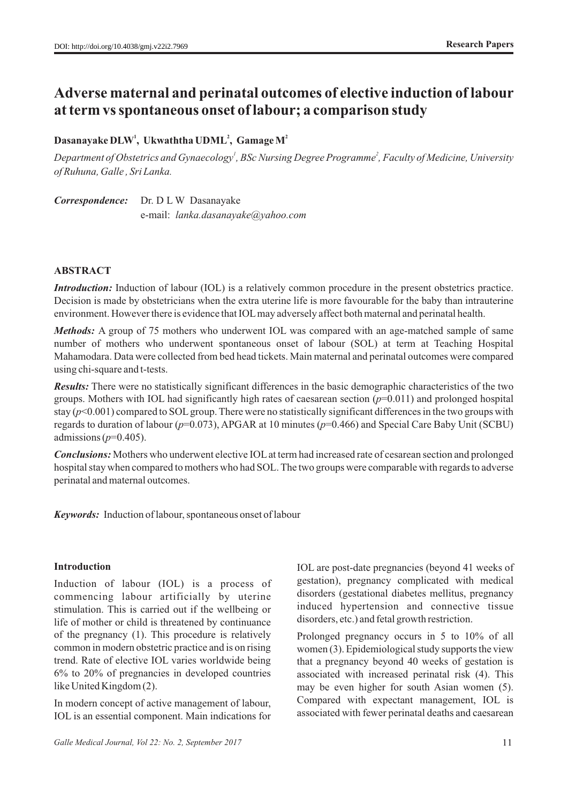# **Adverse maternal and perinatal outcomes of elective induction of labour at term vs spontaneous onset of labour; a comparison study**

## **<sup>1</sup> <sup>2</sup> <sup>2</sup> Dasanayake DLW , Ukwaththa UDML , Gamage M**

*<sup>1</sup> <sup>2</sup> Department of Obstetrics and Gynaecology , BSc Nursing Degree Programme , Faculty of Medicine, University of Ruhuna, Galle , Sri Lanka.* 

*Correspondence:* Dr. D L W Dasanayake e-mail: *lanka.dasanayake@yahoo.com*

## **ABSTRACT**

*Introduction:* Induction of labour (IOL) is a relatively common procedure in the present obstetrics practice. Decision is made by obstetricians when the extra uterine life is more favourable for the baby than intrauterine environment. However there is evidence that IOLmay adversely affect both maternal and perinatal health.

*Methods:* A group of 75 mothers who underwent IOL was compared with an age-matched sample of same number of mothers who underwent spontaneous onset of labour (SOL) at term at Teaching Hospital Mahamodara. Data were collected from bed head tickets. Main maternal and perinatal outcomes were compared using chi-square and t-tests.

*Results:* There were no statistically significant differences in the basic demographic characteristics of the two groups. Mothers with IOL had significantly high rates of caesarean section (*p*=0.011) and prolonged hospital stay  $(p<0.001)$  compared to SOL group. There were no statistically significant differences in the two groups with regards to duration of labour (*p*=0.073), APGAR at 10 minutes (*p*=0.466) and Special Care Baby Unit (SCBU) admissions (*p*=0.405).

*Conclusions:* Mothers who underwent elective IOLat term had increased rate of cesarean section and prolonged hospital stay when compared to mothers who had SOL. The two groups were comparable with regards to adverse perinatal and maternal outcomes.

*Keywords:* Induction of labour, spontaneous onset of labour

### **Introduction**

Induction of labour (IOL) is a process of commencing labour artificially by uterine stimulation. This is carried out if the wellbeing or life of mother or child is threatened by continuance of the pregnancy (1). This procedure is relatively common in modern obstetric practice and is on rising trend. Rate of elective IOL varies worldwide being 6% to 20% of pregnancies in developed countries like United Kingdom (2).

In modern concept of active management of labour, IOL is an essential component. Main indications for IOL are post-date pregnancies (beyond 41 weeks of gestation), pregnancy complicated with medical disorders (gestational diabetes mellitus, pregnancy induced hypertension and connective tissue disorders, etc.) and fetal growth restriction.

Prolonged pregnancy occurs in 5 to 10% of all women (3). Epidemiological study supports the view that a pregnancy beyond 40 weeks of gestation is associated with increased perinatal risk (4). This may be even higher for south Asian women (5). Compared with expectant management, IOL is associated with fewer perinatal deaths and caesarean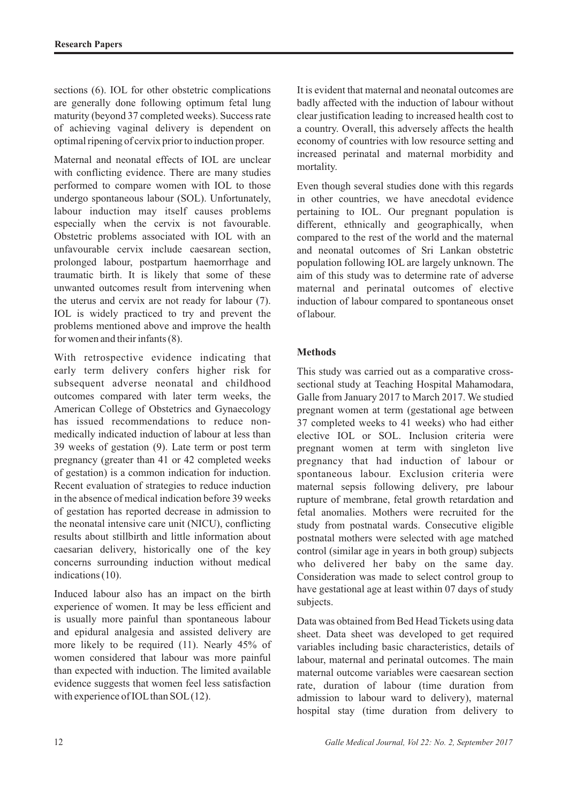sections (6). IOL for other obstetric complications are generally done following optimum fetal lung maturity (beyond 37 completed weeks). Success rate of achieving vaginal delivery is dependent on optimal ripening of cervix prior to induction proper.

Maternal and neonatal effects of IOL are unclear with conflicting evidence. There are many studies performed to compare women with IOL to those undergo spontaneous labour (SOL). Unfortunately, labour induction may itself causes problems especially when the cervix is not favourable. Obstetric problems associated with IOL with an unfavourable cervix include caesarean section, prolonged labour, postpartum haemorrhage and traumatic birth. It is likely that some of these unwanted outcomes result from intervening when the uterus and cervix are not ready for labour (7). IOL is widely practiced to try and prevent the problems mentioned above and improve the health for women and their infants (8).

With retrospective evidence indicating that early term delivery confers higher risk for subsequent adverse neonatal and childhood outcomes compared with later term weeks, the American College of Obstetrics and Gynaecology has issued recommendations to reduce nonmedically indicated induction of labour at less than 39 weeks of gestation (9). Late term or post term pregnancy (greater than 41 or 42 completed weeks of gestation) is a common indication for induction. Recent evaluation of strategies to reduce induction in the absence of medical indication before 39 weeks of gestation has reported decrease in admission to the neonatal intensive care unit (NICU), conflicting results about stillbirth and little information about caesarian delivery, historically one of the key concerns surrounding induction without medical indications (10).

Induced labour also has an impact on the birth experience of women. It may be less efficient and is usually more painful than spontaneous labour and epidural analgesia and assisted delivery are more likely to be required (11). Nearly 45% of women considered that labour was more painful than expected with induction. The limited available evidence suggests that women feel less satisfaction with experience of IOL than SOL(12).

It is evident that maternal and neonatal outcomes are badly affected with the induction of labour without clear justification leading to increased health cost to a country. Overall, this adversely affects the health economy of countries with low resource setting and increased perinatal and maternal morbidity and mortality.

Even though several studies done with this regards in other countries, we have anecdotal evidence pertaining to IOL. Our pregnant population is different, ethnically and geographically, when compared to the rest of the world and the maternal and neonatal outcomes of Sri Lankan obstetric population following IOL are largely unknown. The aim of this study was to determine rate of adverse maternal and perinatal outcomes of elective induction of labour compared to spontaneous onset of labour.

## **Methods**

This study was carried out as a comparative crosssectional study at Teaching Hospital Mahamodara, Galle from January 2017 to March 2017. We studied pregnant women at term (gestational age between 37 completed weeks to 41 weeks) who had either elective IOL or SOL. Inclusion criteria were pregnant women at term with singleton live pregnancy that had induction of labour or spontaneous labour. Exclusion criteria were maternal sepsis following delivery, pre labour rupture of membrane, fetal growth retardation and fetal anomalies. Mothers were recruited for the study from postnatal wards. Consecutive eligible postnatal mothers were selected with age matched control (similar age in years in both group) subjects who delivered her baby on the same day. Consideration was made to select control group to have gestational age at least within 07 days of study subjects.

Data was obtained from Bed Head Tickets using data sheet. Data sheet was developed to get required variables including basic characteristics, details of labour, maternal and perinatal outcomes. The main maternal outcome variables were caesarean section rate, duration of labour (time duration from admission to labour ward to delivery), maternal hospital stay (time duration from delivery to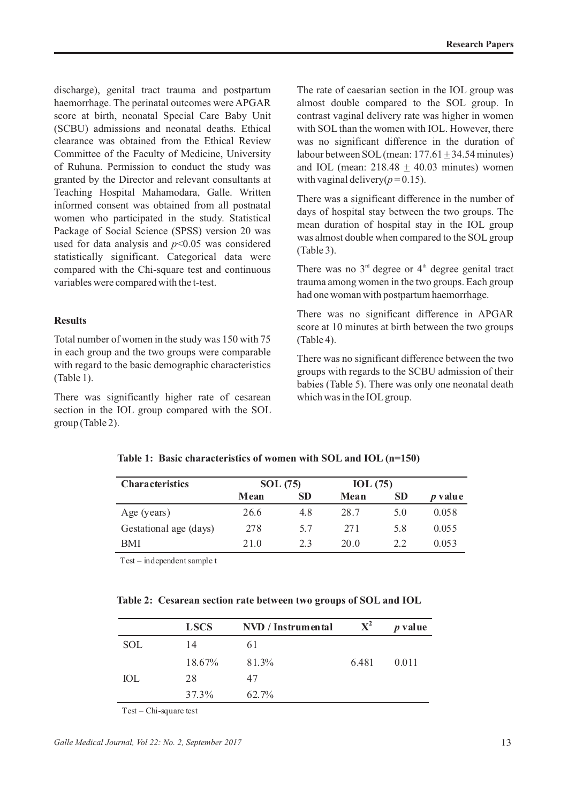discharge), genital tract trauma and postpartum haemorrhage. The perinatal outcomes were APGAR score at birth, neonatal Special Care Baby Unit (SCBU) admissions and neonatal deaths. Ethical clearance was obtained from the Ethical Review Committee of the Faculty of Medicine, University of Ruhuna. Permission to conduct the study was granted by the Director and relevant consultants at Teaching Hospital Mahamodara, Galle. Written informed consent was obtained from all postnatal women who participated in the study. Statistical Package of Social Science (SPSS) version 20 was used for data analysis and *p*<0.05 was considered statistically significant. Categorical data were compared with the Chi-square test and continuous variables were compared with the t-test.

### **Results**

Total number of women in the study was 150 with 75 in each group and the two groups were comparable with regard to the basic demographic characteristics (Table 1).

There was significantly higher rate of cesarean section in the IOL group compared with the SOL group (Table 2).

The rate of caesarian section in the IOL group was almost double compared to the SOL group. In contrast vaginal delivery rate was higher in women with SOL than the women with IOL. However, there was no significant difference in the duration of labour between SOL (mean:  $177.61 + 34.54$  minutes) and IOL (mean:  $218.48 + 40.03$  minutes) women with vaginal delivery( $p = 0.15$ ).

There was a significant difference in the number of days of hospital stay between the two groups. The mean duration of hospital stay in the IOL group was almost double when compared to the SOL group (Table 3).

There was no  $3<sup>rd</sup>$  degree or  $4<sup>th</sup>$  degree genital tract trauma among women in the two groups. Each group had one woman with postpartum haemorrhage.

There was no significant difference in APGAR score at 10 minutes at birth between the two groups (Table 4).

There was no significant difference between the two groups with regards to the SCBU admission of their babies (Table 5). There was only one neonatal death which was in the IOLgroup.

| <b>Characteristics</b> | <b>SOL</b> (75) |           | IOL(75) |           |                |
|------------------------|-----------------|-----------|---------|-----------|----------------|
|                        | Mean            | <b>SD</b> | Mean    | <b>SD</b> | <i>p</i> value |
| Age (years)            | 26.6            | 4.8       | 28.7    | 5.0       | 0.058          |
| Gestational age (days) | 278             | 5.7       | 271     | 5.8       | 0.055          |
| BMI                    | 21.0            | 2.3       | 20.0    | 2.2       | 0.053          |

**Table 1: Basic characteristics of women with SOL and IOL (n=150)**

Test – independentsample t

**Table 2: Cesarean section rate between two groups of SOL and IOL**

|            | <b>LSCS</b> | NVD / Instrumental | $\mathbf{X}^2$ | <i>p</i> value |
|------------|-------------|--------------------|----------------|----------------|
| <b>SOL</b> | 14          | 61                 |                |                |
|            | $18.67\%$   | 81.3%              | 6.481          | 0.011          |
| IOL        | 28          | 47                 |                |                |
|            | 37.3%       | 62.7%              |                |                |

Test – Chi-square test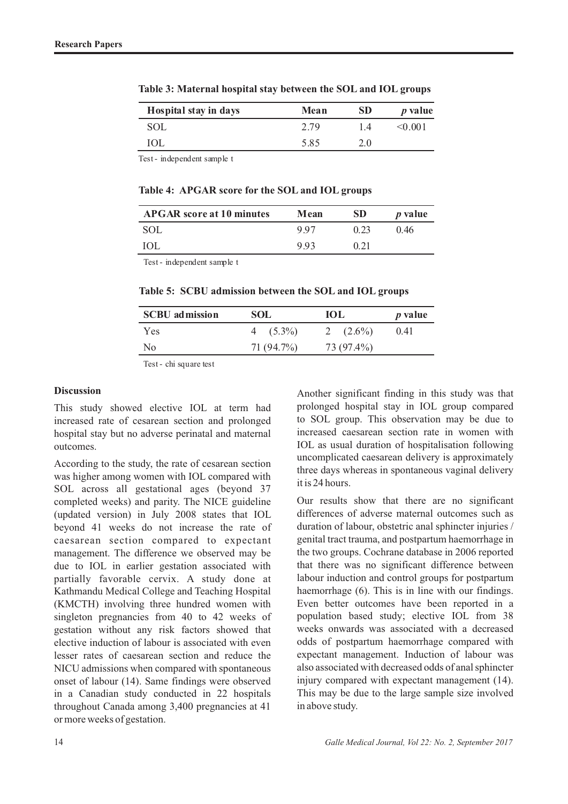| Hospital stay in days | Mean | SD  | <i>p</i> value |
|-----------------------|------|-----|----------------|
| <b>SOL</b>            | 2.79 | 1.4 | < 0.001        |
| IOL                   | 5.85 | 2.0 |                |

**Table 3: Maternal hospital stay between the SOL and IOL groups**

Test - independent sample t

**Table 4: APGAR score for the SOL and IOL groups**

| <b>APGAR</b> score at 10 minutes | Mean | SD   | <i>p</i> value |
|----------------------------------|------|------|----------------|
| -SOL                             | 997  | 0.23 | 046            |
| <b>IOL</b>                       | 993  | 0.21 |                |

Test - independent sample t

**Table 5: SCBU admission between the SOL and IOL groups**

| <b>SCBU</b> admission | <b>SOL</b> | ЮL          | <i>p</i> value |
|-----------------------|------------|-------------|----------------|
| Yes                   | $4(5.3\%)$ | 2 $(2.6\%)$ | 0.41           |
| N <sub>0</sub>        | 71 (94.7%) | 73 (97.4%)  |                |
|                       |            |             |                |

Test - chi square test

#### **Discussion**

This study showed elective IOL at term had increased rate of cesarean section and prolonged hospital stay but no adverse perinatal and maternal outcomes.

According to the study, the rate of cesarean section was higher among women with IOL compared with SOL across all gestational ages (beyond 37 completed weeks) and parity. The NICE guideline (updated version) in July 2008 states that IOL beyond 41 weeks do not increase the rate of caesarean section compared to expectant management. The difference we observed may be due to IOL in earlier gestation associated with partially favorable cervix. A study done at Kathmandu Medical College and Teaching Hospital (KMCTH) involving three hundred women with singleton pregnancies from 40 to 42 weeks of gestation without any risk factors showed that elective induction of labour is associated with even lesser rates of caesarean section and reduce the NICU admissions when compared with spontaneous onset of labour (14). Same findings were observed in a Canadian study conducted in 22 hospitals throughout Canada among 3,400 pregnancies at 41 or more weeks of gestation.

Another significant finding in this study was that prolonged hospital stay in IOL group compared to SOL group. This observation may be due to increased caesarean section rate in women with IOL as usual duration of hospitalisation following uncomplicated caesarean delivery is approximately three days whereas in spontaneous vaginal delivery it is 24 hours.

Our results show that there are no significant differences of adverse maternal outcomes such as duration of labour, obstetric anal sphincter injuries / genital tract trauma, and postpartum haemorrhage in the two groups. Cochrane database in 2006 reported that there was no significant difference between labour induction and control groups for postpartum haemorrhage (6). This is in line with our findings. Even better outcomes have been reported in a population based study; elective IOL from 38 weeks onwards was associated with a decreased odds of postpartum haemorrhage compared with expectant management. Induction of labour was also associated with decreased odds of anal sphincter injury compared with expectant management (14). This may be due to the large sample size involved in above study.